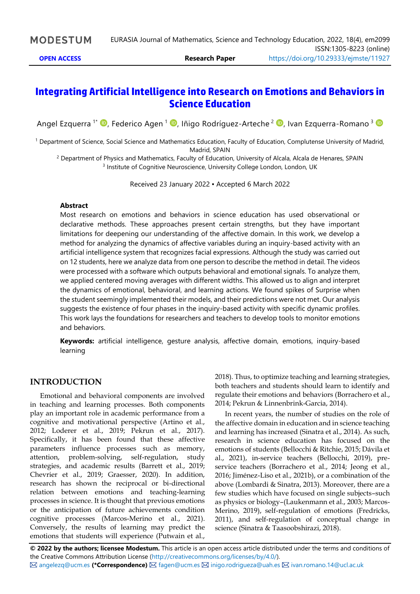## **Integrating Artificial Intelligence into Research on Emotions and Behaviors in Science Education**

Angel Ezquerra <sup>1\*</sup> (D, Federico Agen <sup>1</sup> (D, Iñigo Rodríguez-Arteche <sup>2</sup> (D, Ivan Ezquerra-Romano <sup>3</sup>

<sup>1</sup> Department of Science, Social Science and Mathematics Education, Faculty of Education, Complutense University of Madrid, Madrid, SPAIN

<sup>2</sup> Department of Physics and Mathematics, Faculty of Education, University of Alcala, Alcala de Henares, SPAIN <sup>3</sup> Institute of Cognitive Neuroscience, University College London, London, UK

Received 23 January 2022 ▪ Accepted 6 March 2022

#### **Abstract**

Most research on emotions and behaviors in science education has used observational or declarative methods. These approaches present certain strengths, but they have important limitations for deepening our understanding of the affective domain. In this work, we develop a method for analyzing the dynamics of affective variables during an inquiry-based activity with an artificial intelligence system that recognizes facial expressions. Although the study was carried out on 12 students, here we analyze data from one person to describe the method in detail. The videos were processed with a software which outputs behavioral and emotional signals. To analyze them, we applied centered moving averages with different widths. This allowed us to align and interpret the dynamics of emotional, behavioral, and learning actions. We found spikes of Surprise when the student seemingly implemented their models, and their predictions were not met. Our analysis suggests the existence of four phases in the inquiry-based activity with specific dynamic profiles. This work lays the foundations for researchers and teachers to develop tools to monitor emotions and behaviors.

**Keywords:** artificial intelligence, gesture analysis, affective domain, emotions, inquiry-based learning

### **INTRODUCTION**

Emotional and behavioral components are involved in teaching and learning processes. Both components play an important role in academic performance from a cognitive and motivational perspective (Artino et al., 2012; Loderer et al., 2019; Pekrun et al., 2017). Specifically, it has been found that these affective parameters influence processes such as memory, attention, problem-solving, self-regulation, study strategies, and academic results (Barrett et al., 2019; Chevrier et al., 2019; Graesser, 2020). In addition, research has shown the reciprocal or bi-directional relation between emotions and teaching-learning processes in science. It is thought that previous emotions or the anticipation of future achievements condition cognitive processes (Marcos-Merino et al., 2021). Conversely, the results of learning may predict the emotions that students will experience (Putwain et al.,

2018). Thus, to optimize teaching and learning strategies, both teachers and students should learn to identify and regulate their emotions and behaviors (Borrachero et al., 2014; Pekrun & Linnenbrink-Garcia, 2014).

In recent years, the number of studies on the role of the affective domain in education and in science teaching and learning has increased (Sinatra et al., 2014). As such, research in science education has focused on the emotions of students (Bellocchi & Ritchie, 2015; Dávila et al., 2021), in-service teachers (Bellocchi, 2019), preservice teachers (Borrachero et al., 2014; Jeong et al., 2016; Jiménez-Liso et al., 2021b), or a combination of the above (Lombardi & Sinatra, 2013). Moreover, there are a few studies which have focused on single subjects–such as physics or biology–(Laukenmann et al., 2003; Marcos-Merino, 2019), self-regulation of emotions (Fredricks, 2011), and self-regulation of conceptual change in science (Sinatra & Taasoobshirazi, 2018).

**© 2022 by the authors; licensee Modestum.** This article is an open access article distributed under the terms and conditions of the Creative Commons Attribution License [\(http://creativecommons.org/licenses/by/4.0/\)](http://creativecommons.org/licenses/by/4.0/).  $\boxtimes$  [angelezq@ucm.es](mailto:angelezq@ucm.es) (\*Correspondence)  $\boxtimes$  [fagen@ucm.es](mailto:fagen@ucm.es)  $\boxtimes$  [inigo.rodrigueza@uah.es](mailto:inigo.rodrigueza@uah.es)  $\boxtimes$  [ivan.romano.14@ucl.ac.uk](mailto:ivan.romano.14@ucl.ac.uk)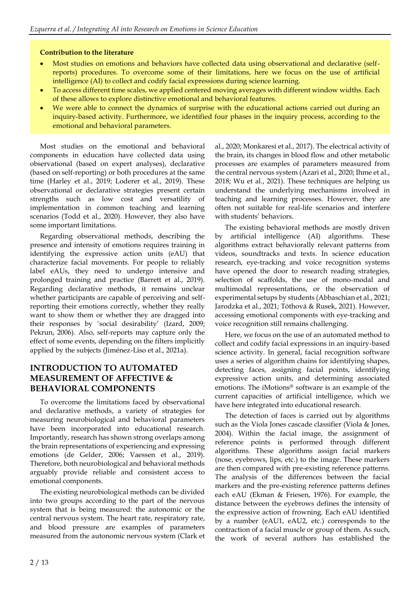### **Contribution to the literature**

- Most studies on emotions and behaviors have collected data using observational and declarative (selfreports) procedures. To overcome some of their limitations, here we focus on the use of artificial intelligence (AI) to collect and codify facial expressions during science learning.
- To access different time scales, we applied centered moving averages with different window widths. Each of these allows to explore distinctive emotional and behavioral features.
- We were able to connect the dynamics of surprise with the educational actions carried out during an inquiry-based activity. Furthermore, we identified four phases in the inquiry process, according to the emotional and behavioral parameters.

Most studies on the emotional and behavioral components in education have collected data using observational (based on expert analyses), declarative (based on self-reporting) or both procedures at the same time (Harley et al., 2019; Loderer et al., 2019). These observational or declarative strategies present certain strengths such as low cost and versatility of implementation in common teaching and learning scenarios (Todd et al., 2020). However, they also have some important limitations.

Regarding observational methods, describing the presence and intensity of emotions requires training in identifying the expressive action units (eAU) that characterize facial movements. For people to reliably label eAUs, they need to undergo intensive and prolonged training and practice (Barrett et al., 2019). Regarding declarative methods, it remains unclear whether participants are capable of perceiving and selfreporting their emotions correctly, whether they really want to show them or whether they are dragged into their responses by 'social desirability' (Izard, 2009; Pekrun, 2006). Also, self-reports may capture only the effect of some events, depending on the filters implicitly applied by the subjects (Jiménez-Liso et al., 2021a).

## **INTRODUCTION TO AUTOMATED MEASUREMENT OF AFFECTIVE & BEHAVIORAL COMPONENTS**

To overcome the limitations faced by observational and declarative methods, a variety of strategies for measuring neurobiological and behavioral parameters have been incorporated into educational research. Importantly, research has shown strong overlaps among the brain representations of experiencing and expressing emotions (de Gelder, 2006; Vaessen et al., 2019). Therefore, both neurobiological and behavioral methods arguably provide reliable and consistent access to emotional components.

The existing neurobiological methods can be divided into two groups according to the part of the nervous system that is being measured: the autonomic or the central nervous system. The heart rate, respiratory rate, and blood pressure are examples of parameters measured from the autonomic nervous system (Clark et

al., 2020; Monkaresi et al., 2017). The electrical activity of the brain, its changes in blood flow and other metabolic processes are examples of parameters measured from the central nervous system (Azari et al., 2020; Ihme et al., 2018; Wu et al., 2021). These techniques are helping us understand the underlying mechanisms involved in teaching and learning processes. However, they are often not suitable for real-life scenarios and interfere with students' behaviors.

The existing behavioral methods are mostly driven by artificial intelligence (AI) algorithms. These algorithms extract behaviorally relevant patterns from videos, soundtracks and texts. In science education research, eye-tracking and voice recognition systems have opened the door to research reading strategies, selection of scaffolds, the use of mono-modal and multimodal representations, or the observation of experimental setups by students (Abbaschian et al., 2021; Jarodzka et al., 2021; Tóthová & Rusek, 2021). However, accessing emotional components with eye-tracking and voice recognition still remains challenging.

Here, we focus on the use of an automated method to collect and codify facial expressions in an inquiry-based science activity. In general, facial recognition software uses a series of algorithm chains for identifying shapes, detecting faces, assigning facial points, identifying expressive action units, and determining associated emotions. The iMotions® software is an example of the current capacities of artificial intelligence, which we have here integrated into educational research.

The detection of faces is carried out by algorithms such as the Viola Jones cascade classifier (Viola & Jones, 2004). Within the facial image, the assignment of reference points is performed through different algorithms. These algorithms assign facial markers (nose, eyebrows, lips, etc.) to the image. These markers are then compared with pre-existing reference patterns. The analysis of the differences between the facial markers and the pre-existing reference patterns defines each eAU (Ekman & Friesen, 1976). For example, the distance between the eyebrows defines the intensity of the expressive action of frowning. Each eAU identified by a number (eAU1, eAU2, etc.) corresponds to the contraction of a facial muscle or group of them. As such, the work of several authors has established the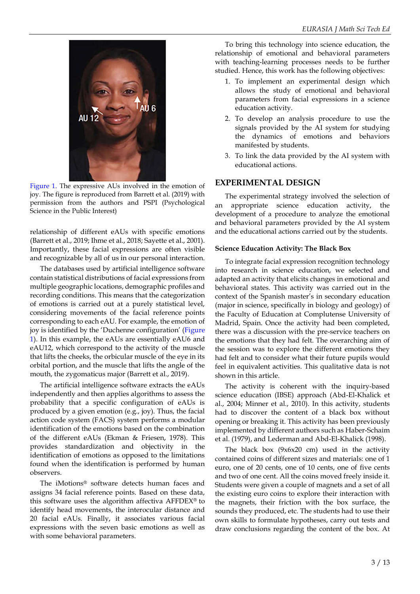

Figure 1. The expressive AUs involved in the emotion of joy. The figure is reproduced from Barrett et al. (2019) with permission from the authors and PSPI (Psychological Science in the Public Interest)

relationship of different eAUs with specific emotions (Barrett et al., 2019; Ihme et al., 2018; Sayette et al., 2001). Importantly, these facial expressions are often visible and recognizable by all of us in our personal interaction.

The databases used by artificial intelligence software contain statistical distributions of facial expressions from multiple geographic locations, demographic profiles and recording conditions. This means that the categorization of emotions is carried out at a purely statistical level, considering movements of the facial reference points corresponding to each eAU. For example, the emotion of joy is identified by the 'Duchenne configuration' (Figure 1). In this example, the eAUs are essentially eAU6 and eAU12, which correspond to the activity of the muscle that lifts the cheeks, the orbicular muscle of the eye in its orbital portion, and the muscle that lifts the angle of the mouth, the zygomaticus major (Barrett et al., 2019).

The artificial intelligence software extracts the eAUs independently and then applies algorithms to assess the probability that a specific configuration of eAUs is produced by a given emotion (e.g., joy). Thus, the facial action code system (FACS) system performs a modular identification of the emotions based on the combination of the different eAUs (Ekman & Friesen, 1978). This provides standardization and objectivity in the identification of emotions as opposed to the limitations found when the identification is performed by human observers.

The iMotions® software detects human faces and assigns 34 facial reference points. Based on these data, this software uses the algorithm affectiva AFFDEX® to identify head movements, the interocular distance and 20 facial eAUs. Finally, it associates various facial expressions with the seven basic emotions as well as with some behavioral parameters.

To bring this technology into science education, the relationship of emotional and behavioral parameters with teaching-learning processes needs to be further studied. Hence, this work has the following objectives:

- 1. To implement an experimental design which allows the study of emotional and behavioral parameters from facial expressions in a science education activity.
- 2. To develop an analysis procedure to use the signals provided by the AI system for studying the dynamics of emotions and behaviors manifested by students.
- 3. To link the data provided by the AI system with educational actions.

## **EXPERIMENTAL DESIGN**

The experimental strategy involved the selection of an appropriate science education activity, the development of a procedure to analyze the emotional and behavioral parameters provided by the AI system and the educational actions carried out by the students.

#### **Science Education Activity: The Black Box**

To integrate facial expression recognition technology into research in science education, we selected and adapted an activity that elicits changes in emotional and behavioral states. This activity was carried out in the context of the Spanish master's in secondary education (major in science, specifically in biology and geology) of the Faculty of Education at Complutense University of Madrid, Spain. Once the activity had been completed, there was a discussion with the pre-service teachers on the emotions that they had felt. The overarching aim of the session was to explore the different emotions they had felt and to consider what their future pupils would feel in equivalent activities. This qualitative data is not shown in this article.

The activity is coherent with the inquiry-based science education (IBSE) approach (Abd-El-Khalick et al., 2004; Minner et al., 2010). In this activity, students had to discover the content of a black box without opening or breaking it. This activity has been previously implemented by different authors such as Haber-Schaim et al. (1979), and Lederman and Abd-El-Khalick (1998).

The black box (9x6x20 cm) used in the activity contained coins of different sizes and materials: one of 1 euro, one of 20 cents, one of 10 cents, one of five cents and two of one cent. All the coins moved freely inside it. Students were given a couple of magnets and a set of all the existing euro coins to explore their interaction with the magnets, their friction with the box surface, the sounds they produced, etc. The students had to use their own skills to formulate hypotheses, carry out tests and draw conclusions regarding the content of the box. At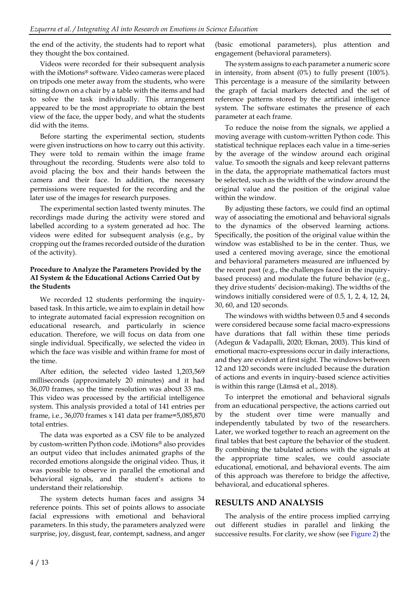the end of the activity, the students had to report what they thought the box contained.

Videos were recorded for their subsequent analysis with the iMotions® software. Video cameras were placed on tripods one meter away from the students, who were sitting down on a chair by a table with the items and had to solve the task individually. This arrangement appeared to be the most appropriate to obtain the best view of the face, the upper body, and what the students did with the items.

Before starting the experimental section, students were given instructions on how to carry out this activity. They were told to remain within the image frame throughout the recording. Students were also told to avoid placing the box and their hands between the camera and their face. In addition, the necessary permissions were requested for the recording and the later use of the images for research purposes.

The experimental section lasted twenty minutes. The recordings made during the activity were stored and labelled according to a system generated ad hoc. The videos were edited for subsequent analysis (e.g., by cropping out the frames recorded outside of the duration of the activity).

### **Procedure to Analyze the Parameters Provided by the AI System & the Educational Actions Carried Out by the Students**

We recorded 12 students performing the inquirybased task. In this article, we aim to explain in detail how to integrate automated facial expression recognition on educational research, and particularly in science education. Therefore, we will focus on data from one single individual. Specifically, we selected the video in which the face was visible and within frame for most of the time.

After edition, the selected video lasted 1,203,569 milliseconds (approximately 20 minutes) and it had 36,070 frames, so the time resolution was about 33 ms. This video was processed by the artificial intelligence system. This analysis provided a total of 141 entries per frame, i.e., 36,070 frames x 141 data per frame=5,085,870 total entries.

The data was exported as a CSV file to be analyzed by custom-written Python code. iMotions® also provides an output video that includes animated graphs of the recorded emotions alongside the original video. Thus, it was possible to observe in parallel the emotional and behavioral signals, and the student's actions to understand their relationship.

The system detects human faces and assigns 34 reference points. This set of points allows to associate facial expressions with emotional and behavioral parameters. In this study, the parameters analyzed were surprise, joy, disgust, fear, contempt, sadness, and anger (basic emotional parameters), plus attention and engagement (behavioral parameters).

The system assigns to each parameter a numeric score in intensity, from absent (0%) to fully present (100%). This percentage is a measure of the similarity between the graph of facial markers detected and the set of reference patterns stored by the artificial intelligence system. The software estimates the presence of each parameter at each frame.

To reduce the noise from the signals, we applied a moving average with custom-written Python code. This statistical technique replaces each value in a time-series by the average of the window around each original value. To smooth the signals and keep relevant patterns in the data, the appropriate mathematical factors must be selected, such as the width of the window around the original value and the position of the original value within the window.

By adjusting these factors, we could find an optimal way of associating the emotional and behavioral signals to the dynamics of the observed learning actions. Specifically, the position of the original value within the window was established to be in the center. Thus, we used a centered moving average, since the emotional and behavioral parameters measured are influenced by the recent past (e.g., the challenges faced in the inquirybased process) and modulate the future behavior (e.g., they drive students' decision-making). The widths of the windows initially considered were of 0.5, 1, 2, 4, 12, 24, 30, 60, and 120 seconds.

The windows with widths between 0.5 and 4 seconds were considered because some facial macro-expressions have durations that fall within these time periods (Adegun & Vadapalli, 2020; Ekman, 2003). This kind of emotional macro-expressions occur in daily interactions, and they are evident at first sight. The windows between 12 and 120 seconds were included because the duration of actions and events in inquiry-based science activities is within this range (Lämsä et al., 2018).

To interpret the emotional and behavioral signals from an educational perspective, the actions carried out by the student over time were manually and independently tabulated by two of the researchers. Later, we worked together to reach an agreement on the final tables that best capture the behavior of the student. By combining the tabulated actions with the signals at the appropriate time scales, we could associate educational, emotional, and behavioral events. The aim of this approach was therefore to bridge the affective, behavioral, and educational spheres.

## **RESULTS AND ANALYSIS**

The analysis of the entire process implied carrying out different studies in parallel and linking the successive results. For clarity, we show (see Figure 2) the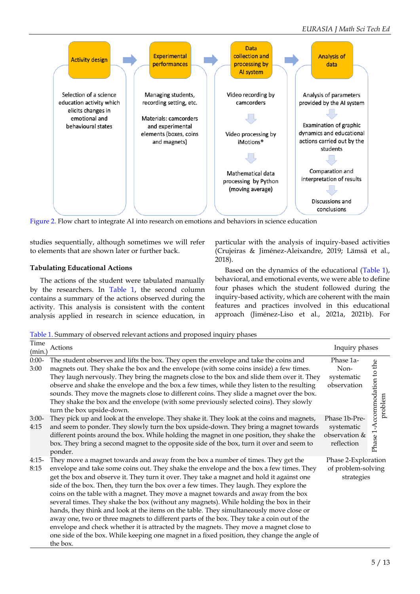

Figure 2. Flow chart to integrate AI into research on emotions and behaviors in science education

studies sequentially, although sometimes we will refer to elements that are shown later or further back.

### **Tabulating Educational Actions**

The actions of the student were tabulated manually by the researchers. In Table 1, the second column contains a summary of the actions observed during the activity. This analysis is consistent with the content analysis applied in research in science education, in particular with the analysis of inquiry-based activities (Crujeiras & Jiménez-Aleixandre, 2019; Lämsä et al., 2018).

Based on the dynamics of the educational (Table 1), behavioral, and emotional events, we were able to define four phases which the student followed during the inquiry-based activity, which are coherent with the main features and practices involved in this educational approach (Jiménez-Liso et al., 2021a, 2021b). For

Table 1. Summary of observed relevant actions and proposed inquiry phases

| Time<br>(min.)  | Actions                                                                                                                                                                                                                                                                                                                                                                                                                                                                                                                                                                                                                                                                                                                                                                                                                                                                                                                                           | Inquiry phases                                             |                                         |
|-----------------|---------------------------------------------------------------------------------------------------------------------------------------------------------------------------------------------------------------------------------------------------------------------------------------------------------------------------------------------------------------------------------------------------------------------------------------------------------------------------------------------------------------------------------------------------------------------------------------------------------------------------------------------------------------------------------------------------------------------------------------------------------------------------------------------------------------------------------------------------------------------------------------------------------------------------------------------------|------------------------------------------------------------|-----------------------------------------|
| $0:00-$<br>3:00 | The student observes and lifts the box. They open the envelope and take the coins and<br>magnets out. They shake the box and the envelope (with some coins inside) a few times.<br>They laugh nervously. They bring the magnets close to the box and slide them over it. They<br>observe and shake the envelope and the box a few times, while they listen to the resulting<br>sounds. They move the magnets close to different coins. They slide a magnet over the box.<br>They shake the box and the envelope (with some previously selected coins). They slowly<br>turn the box upside-down.                                                                                                                                                                                                                                                                                                                                                   | Phase 1a-<br>Non-<br>systematic<br>observation             | Phase 1-Accommodation to the<br>problem |
| $3:00-$<br>4:15 | They pick up and look at the envelope. They shake it. They look at the coins and magnets,<br>and seem to ponder. They slowly turn the box upside-down. They bring a magnet towards<br>different points around the box. While holding the magnet in one position, they shake the<br>box. They bring a second magnet to the opposite side of the box, turn it over and seem to<br>ponder.                                                                                                                                                                                                                                                                                                                                                                                                                                                                                                                                                           | Phase 1b-Pre-<br>systematic<br>observation &<br>reflection |                                         |
| $4:15-$<br>8:15 | They move a magnet towards and away from the box a number of times. They get the<br>envelope and take some coins out. They shake the envelope and the box a few times. They<br>get the box and observe it. They turn it over. They take a magnet and hold it against one<br>side of the box. Then, they turn the box over a few times. They laugh. They explore the<br>coins on the table with a magnet. They move a magnet towards and away from the box<br>several times. They shake the box (without any magnets). While holding the box in their<br>hands, they think and look at the items on the table. They simultaneously move close or<br>away one, two or three magnets to different parts of the box. They take a coin out of the<br>envelope and check whether it is attracted by the magnets. They move a magnet close to<br>one side of the box. While keeping one magnet in a fixed position, they change the angle of<br>the box. | Phase 2-Exploration<br>of problem-solving<br>strategies    |                                         |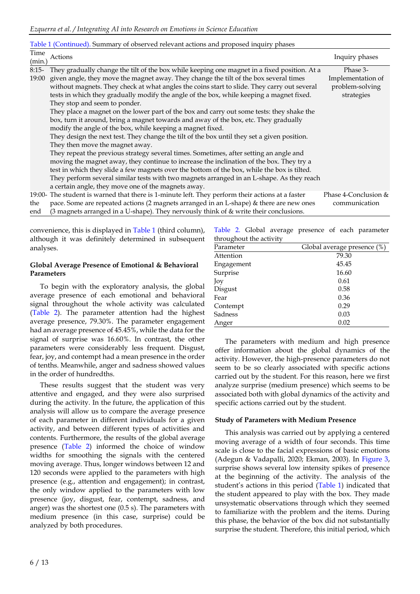#### Table 1 (Continued). Summary of observed relevant actions and proposed inquiry phases

| Time<br>(min.) | Actions                                                                                          | Inquiry phases       |
|----------------|--------------------------------------------------------------------------------------------------|----------------------|
| $8:15-$        | They gradually change the tilt of the box while keeping one magnet in a fixed position. At a     | Phase 3-             |
| 19:00          | given angle, they move the magnet away. They change the tilt of the box several times            | Implementation of    |
|                | without magnets. They check at what angles the coins start to slide. They carry out several      | problem-solving      |
|                | tests in which they gradually modify the angle of the box, while keeping a magnet fixed.         | strategies           |
|                | They stop and seem to ponder.                                                                    |                      |
|                | They place a magnet on the lower part of the box and carry out some tests: they shake the        |                      |
|                | box, turn it around, bring a magnet towards and away of the box, etc. They gradually             |                      |
|                | modify the angle of the box, while keeping a magnet fixed.                                       |                      |
|                | They design the next test. They change the tilt of the box until they set a given position.      |                      |
|                | They then move the magnet away.                                                                  |                      |
|                | They repeat the previous strategy several times. Sometimes, after setting an angle and           |                      |
|                | moving the magnet away, they continue to increase the inclination of the box. They try a         |                      |
|                | test in which they slide a few magnets over the bottom of the box, while the box is tilted.      |                      |
|                | They perform several similar tests with two magnets arranged in an L-shape. As they reach        |                      |
|                | a certain angle, they move one of the magnets away.                                              |                      |
|                | 19:00- The student is warned that there is 1-minute left. They perform their actions at a faster | Phase 4-Conclusion & |
| the            | pace. Some are repeated actions (2 magnets arranged in an L-shape) & there are new ones          | communication        |
| end            | (3 magnets arranged in a U-shape). They nervously think of & write their conclusions.            |                      |

convenience, this is displayed in Table 1 (third column), although it was definitely determined in subsequent analyses.

#### **Global Average Presence of Emotional & Behavioral Parameters**

To begin with the exploratory analysis, the global average presence of each emotional and behavioral signal throughout the whole activity was calculated (Table 2). The parameter attention had the highest average presence, 79.30%. The parameter engagement had an average presence of 45.45%, while the data for the signal of surprise was 16.60%. In contrast, the other parameters were considerably less frequent. Disgust, fear, joy, and contempt had a mean presence in the order of tenths. Meanwhile, anger and sadness showed values in the order of hundredths.

These results suggest that the student was very attentive and engaged, and they were also surprised during the activity. In the future, the application of this analysis will allow us to compare the average presence of each parameter in different individuals for a given activity, and between different types of activities and contents. Furthermore, the results of the global average presence (Table 2) informed the choice of window widths for smoothing the signals with the centered moving average. Thus, longer windows between 12 and 120 seconds were applied to the parameters with high presence (e.g., attention and engagement); in contrast, the only window applied to the parameters with low presence (joy, disgust, fear, contempt, sadness, and anger) was the shortest one (0.5 s). The parameters with medium presence (in this case, surprise) could be analyzed by both procedures.

Table 2. Global average presence of each parameter throughout the activity

| throughout the activity |                             |  |  |  |
|-------------------------|-----------------------------|--|--|--|
| Parameter               | Global average presence (%) |  |  |  |
| Attention               | 79.30                       |  |  |  |
| Engagement              | 45.45                       |  |  |  |
| Surprise                | 16.60                       |  |  |  |
| Joy                     | 0.61                        |  |  |  |
| Disgust                 | 0.58                        |  |  |  |
| Fear                    | 0.36                        |  |  |  |
| Contempt                | 0.29                        |  |  |  |
| Sadness                 | 0.03                        |  |  |  |
| Anger                   | 0.02                        |  |  |  |

The parameters with medium and high presence offer information about the global dynamics of the activity. However, the high-presence parameters do not seem to be so clearly associated with specific actions carried out by the student. For this reason, here we first analyze surprise (medium presence) which seems to be associated both with global dynamics of the activity and specific actions carried out by the student.

#### **Study of Parameters with Medium Presence**

This analysis was carried out by applying a centered moving average of a width of four seconds. This time scale is close to the facial expressions of basic emotions (Adegun & Vadapalli, 2020; Ekman, 2003). In Figure 3, surprise shows several low intensity spikes of presence at the beginning of the activity. The analysis of the student's actions in this period (Table 1) indicated that the student appeared to play with the box. They made unsystematic observations through which they seemed to familiarize with the problem and the items. During this phase, the behavior of the box did not substantially surprise the student. Therefore, this initial period, which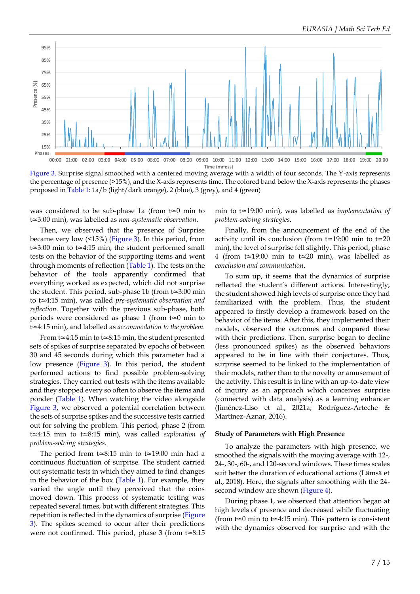

Figure 3. Surprise signal smoothed with a centered moving average with a width of four seconds. The Y-axis represents the percentage of presence (>15%), and the X-axis represents time. The colored band below the X-axis represents the phases proposed in Table 1: 1a/b (light/dark orange), 2 (blue), 3 (grey), and 4 (green)

was considered to be sub-phase 1a (from t≃0 min to t≃3:00 min), was labelled as *non-systematic observation*.

Then, we observed that the presence of Surprise became very low (<15%) (Figure 3). In this period, from t≃3:00 min to t≃4:15 min, the student performed small tests on the behavior of the supporting items and went through moments of reflection (Table 1). The tests on the behavior of the tools apparently confirmed that everything worked as expected, which did not surprise the student. This period, sub-phase 1b (from t≃3:00 min to t≃4:15 min), was called *pre-systematic observation and reflection*. Together with the previous sub-phase, both periods were considered as phase 1 (from t≃0 min to t≃4:15 min), and labelled as *accommodation to the problem.*

From t≃4:15 min to t≃8:15 min, the student presented sets of spikes of surprise separated by epochs of between 30 and 45 seconds during which this parameter had a low presence (Figure 3). In this period, the student performed actions to find possible problem-solving strategies. They carried out tests with the items available and they stopped every so often to observe the items and ponder (Table 1). When watching the video alongside Figure 3, we observed a potential correlation between the sets of surprise spikes and the successive tests carried out for solving the problem. This period, phase 2 (from t≃4:15 min to t≃8:15 min), was called *exploration of problem-solving strategies*.

The period from t≃8:15 min to t≃19:00 min had a continuous fluctuation of surprise. The student carried out systematic tests in which they aimed to find changes in the behavior of the box (Table 1). For example, they varied the angle until they perceived that the coins moved down. This process of systematic testing was repeated several times, but with different strategies. This repetition is reflected in the dynamics of surprise (Figure 3). The spikes seemed to occur after their predictions were not confirmed. This period, phase 3 (from t≃8:15 min to t≃19:00 min), was labelled as *implementation of problem-solving strategies*.

Finally, from the announcement of the end of the activity until its conclusion (from t≃19:00 min to t≃20 min), the level of surprise fell slightly. This period, phase 4 (from t≃19:00 min to t≃20 min), was labelled as *conclusion and communication*.

To sum up, it seems that the dynamics of surprise reflected the student's different actions. Interestingly, the student showed high levels of surprise once they had familiarized with the problem. Thus, the student appeared to firstly develop a framework based on the behavior of the items. After this, they implemented their models, observed the outcomes and compared these with their predictions. Then, surprise began to decline (less pronounced spikes) as the observed behaviors appeared to be in line with their conjectures. Thus, surprise seemed to be linked to the implementation of their models, rather than to the novelty or amusement of the activity. This result is in line with an up-to-date view of inquiry as an approach which conceives surprise (connected with data analysis) as a learning enhancer (Jiménez-Liso et al., 2021a; Rodríguez-Arteche & Martínez-Aznar, 2016).

#### **Study of Parameters with High Presence**

To analyze the parameters with high presence, we smoothed the signals with the moving average with 12-, 24-, 30-, 60-, and 120-second windows. These times scales suit better the duration of educational actions (Lämsä et al., 2018). Here, the signals after smoothing with the 24 second window are shown (Figure 4).

During phase 1, we observed that attention began at high levels of presence and decreased while fluctuating (from t≃0 min to t≃4:15 min). This pattern is consistent with the dynamics observed for surprise and with the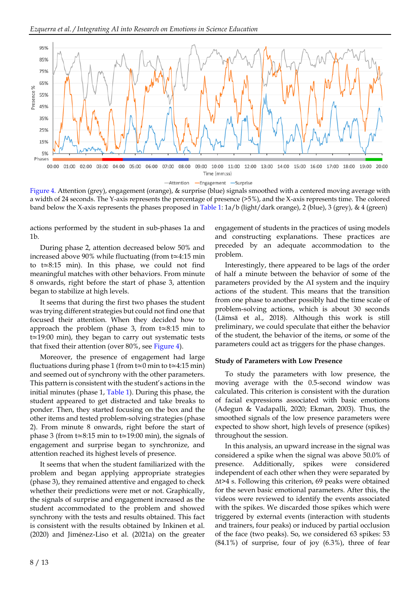

Figure 4. Attention (grey), engagement (orange), & surprise (blue) signals smoothed with a centered moving average with a width of 24 seconds. The Y-axis represents the percentage of presence (>5%), and the X-axis represents time. The colored band below the X-axis represents the phases proposed in Table 1: 1a/b (light/dark orange), 2 (blue), 3 (grey), & 4 (green)

actions performed by the student in sub-phases 1a and 1b.

During phase 2, attention decreased below 50% and increased above 90% while fluctuating (from t≃4:15 min to t≃8:15 min). In this phase, we could not find meaningful matches with other behaviors. From minute 8 onwards, right before the start of phase 3, attention began to stabilize at high levels.

It seems that during the first two phases the student was trying different strategies but could not find one that focused their attention. When they decided how to approach the problem (phase 3, from t≃8:15 min to t≃19:00 min), they began to carry out systematic tests that fixed their attention (over 80%, see Figure 4).

Moreover, the presence of engagement had large fluctuations during phase 1 (from t≃0 min to t≃4:15 min) and seemed out of synchrony with the other parameters. This pattern is consistent with the student's actions in the initial minutes (phase 1, Table 1). During this phase, the student appeared to get distracted and take breaks to ponder. Then, they started focusing on the box and the other items and tested problem-solving strategies (phase 2). From minute 8 onwards, right before the start of phase 3 (from t≃8:15 min to t≃19:00 min), the signals of engagement and surprise began to synchronize, and attention reached its highest levels of presence.

It seems that when the student familiarized with the problem and began applying appropriate strategies (phase 3), they remained attentive and engaged to check whether their predictions were met or not. Graphically, the signals of surprise and engagement increased as the student accommodated to the problem and showed synchrony with the tests and results obtained. This fact is consistent with the results obtained by Inkinen et al. (2020) and Jiménez-Liso et al. (2021a) on the greater engagement of students in the practices of using models and constructing explanations. These practices are preceded by an adequate accommodation to the problem.

Interestingly, there appeared to be lags of the order of half a minute between the behavior of some of the parameters provided by the AI system and the inquiry actions of the student. This means that the transition from one phase to another possibly had the time scale of problem-solving actions, which is about 30 seconds (Lämsä et al., 2018). Although this work is still preliminary, we could speculate that either the behavior of the student, the behavior of the items, or some of the parameters could act as triggers for the phase changes.

#### **Study of Parameters with Low Presence**

To study the parameters with low presence, the moving average with the 0.5-second window was calculated. This criterion is consistent with the duration of facial expressions associated with basic emotions (Adegun & Vadapalli, 2020; Ekman, 2003). Thus, the smoothed signals of the low presence parameters were expected to show short, high levels of presence (spikes) throughout the session.

In this analysis, an upward increase in the signal was considered a spike when the signal was above 50.0% of presence. Additionally, spikes were considered independent of each other when they were separated by ∆t>4 s. Following this criterion, 69 peaks were obtained for the seven basic emotional parameters. After this, the videos were reviewed to identify the events associated with the spikes. We discarded those spikes which were triggered by external events (interaction with students and trainers, four peaks) or induced by partial occlusion of the face (two peaks). So, we considered 63 spikes: 53  $(84.1\%)$  of surprise, four of joy  $(6.3\%)$ , three of fear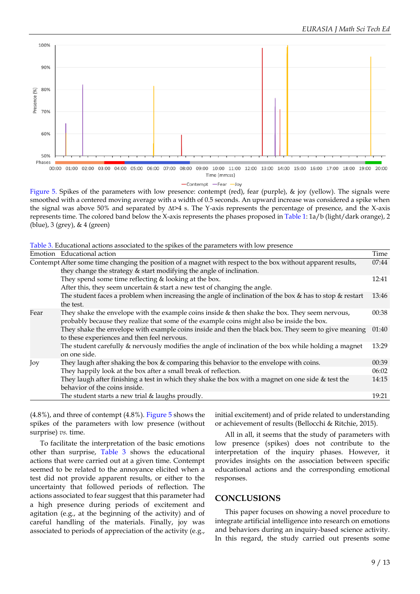

#### -Contempt -Fear -Joy

Figure 5. Spikes of the parameters with low presence: contempt (red), fear (purple), & joy (yellow). The signals were smoothed with a centered moving average with a width of 0.5 seconds. An upward increase was considered a spike when the signal was above 50% and separated by ∆t>4 s. The Y-axis represents the percentage of presence, and the X-axis represents time. The colored band below the X-axis represents the phases proposed in Table 1: 1a/b (light/dark orange), 2 (blue), 3 (grey), & 4 (green)

Table 3. Educational actions associated to the spikes of the parameters with low presence

| Contempt After some time changing the position of a magnet with respect to the box without apparent results,  | 07:44 |
|---------------------------------------------------------------------------------------------------------------|-------|
|                                                                                                               |       |
| they change the strategy & start modifying the angle of inclination.                                          |       |
| They spend some time reflecting & looking at the box.                                                         | 12:41 |
| After this, they seem uncertain & start a new test of changing the angle.                                     |       |
| The student faces a problem when increasing the angle of inclination of the box $\&$ has to stop $\&$ restart | 13:46 |
| the test.                                                                                                     |       |
| They shake the envelope with the example coins inside & then shake the box. They seem nervous,<br>Fear        | 00:38 |
| probably because they realize that some of the example coins might also be inside the box.                    |       |
| They shake the envelope with example coins inside and then the black box. They seem to give meaning           | 01:40 |
| to these experiences and then feel nervous.                                                                   |       |
| The student carefully & nervously modifies the angle of inclination of the box while holding a magnet         | 13:29 |
| on one side.                                                                                                  |       |
| They laugh after shaking the box $&$ comparing this behavior to the envelope with coins.<br>Joy               | 00:39 |
| They happily look at the box after a small break of reflection.                                               | 06:02 |
| They laugh after finishing a test in which they shake the box with a magnet on one side & test the            | 14:15 |
| behavior of the coins inside.                                                                                 |       |
| The student starts a new trial & laughs proudly.                                                              | 19:21 |

(4.8%), and three of contempt (4.8%). Figure 5 shows the spikes of the parameters with low presence (without surprise) *vs.* time.

To facilitate the interpretation of the basic emotions other than surprise, Table 3 shows the educational actions that were carried out at a given time. Contempt seemed to be related to the annoyance elicited when a test did not provide apparent results, or either to the uncertainty that followed periods of reflection. The actions associated to fear suggest that this parameter had a high presence during periods of excitement and agitation (e.g., at the beginning of the activity) and of careful handling of the materials. Finally, joy was associated to periods of appreciation of the activity (e.g., initial excitement) and of pride related to understanding or achievement of results (Bellocchi & Ritchie, 2015).

All in all, it seems that the study of parameters with low presence (spikes) does not contribute to the interpretation of the inquiry phases. However, it provides insights on the association between specific educational actions and the corresponding emotional responses.

#### **CONCLUSIONS**

This paper focuses on showing a novel procedure to integrate artificial intelligence into research on emotions and behaviors during an inquiry-based science activity. In this regard, the study carried out presents some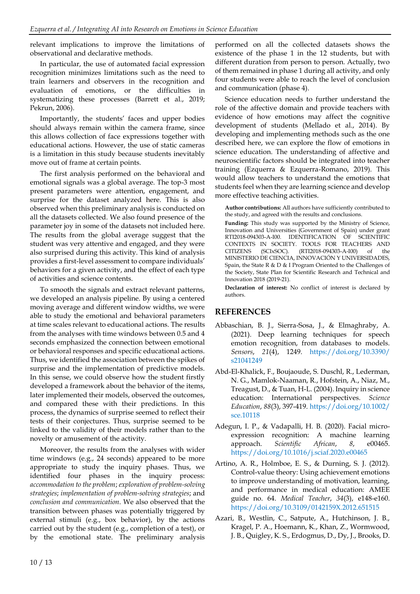relevant implications to improve the limitations of observational and declarative methods.

In particular, the use of automated facial expression recognition minimizes limitations such as the need to train learners and observers in the recognition and evaluation of emotions, or the difficulties in systematizing these processes (Barrett et al., 2019; Pekrun, 2006).

Importantly, the students' faces and upper bodies should always remain within the camera frame, since this allows collection of face expressions together with educational actions. However, the use of static cameras is a limitation in this study because students inevitably move out of frame at certain points.

The first analysis performed on the behavioral and emotional signals was a global average. The top-3 most present parameters were attention, engagement, and surprise for the dataset analyzed here. This is also observed when this preliminary analysis is conducted on all the datasets collected. We also found presence of the parameter joy in some of the datasets not included here. The results from the global average suggest that the student was very attentive and engaged, and they were also surprised during this activity. This kind of analysis provides a first-level assessment to compare individuals' behaviors for a given activity, and the effect of each type of activities and science contents.

To smooth the signals and extract relevant patterns, we developed an analysis pipeline. By using a centered moving average and different window widths, we were able to study the emotional and behavioral parameters at time scales relevant to educational actions. The results from the analyses with time windows between 0.5 and 4 seconds emphasized the connection between emotional or behavioral responses and specific educational actions. Thus, we identified the association between the spikes of surprise and the implementation of predictive models. In this sense, we could observe how the student firstly developed a framework about the behavior of the items, later implemented their models, observed the outcomes, and compared these with their predictions. In this process, the dynamics of surprise seemed to reflect their tests of their conjectures. Thus, surprise seemed to be linked to the validity of their models rather than to the novelty or amusement of the activity.

Moreover, the results from the analyses with wider time windows (e.g., 24 seconds) appeared to be more appropriate to study the inquiry phases. Thus, we identified four phases in the inquiry process: *accommodation to the problem*; *exploration of problem-solving strategies*; *implementation of problem-solving strategies*; and *conclusion and communication*. We also observed that the transition between phases was potentially triggered by external stimuli (e.g., box behavior), by the actions carried out by the student (e.g., completion of a test), or by the emotional state. The preliminary analysis

performed on all the collected datasets shows the existence of the phase 1 in the 12 students, but with different duration from person to person. Actually, two of them remained in phase 1 during all activity, and only four students were able to reach the level of conclusion and communication (phase 4).

Science education needs to further understand the role of the affective domain and provide teachers with evidence of how emotions may affect the cognitive development of students (Mellado et al., 2014). By developing and implementing methods such as the one described here, we can explore the flow of emotions in science education. The understanding of affective and neuroscientific factors should be integrated into teacher training (Ezquerra & Ezquerra-Romano, 2019). This would allow teachers to understand the emotions that students feel when they are learning science and develop more effective teaching activities.

**Author contributions:** All authors have sufficiently contributed to the study, and agreed with the results and conclusions.

**Funding:** This study was supported by the Ministry of Science, Innovation and Universities (Government of Spain) under grant RTI2018-094303-A-I00. IDENTIFICATION OF SCIENTIFIC CONTEXTS IN SOCIETY. TOOLS FOR TEACHERS AND CITIZENS (SCIxSOC). (RTI2018-094303-A-I00) of the MINISTERIO DE CIENCIA, INNOVACIÓN Y UNIVERSIDADES, Spain, the State R & D & I Program Oriented to the Challenges of the Society, State Plan for Scientific Research and Technical and Innovation 2018 (2019-21).

**Declaration of interest:** No conflict of interest is declared by authors.

## **REFERENCES**

- Abbaschian, B. J., Sierra-Sosa, J., & Elmaghraby, A. (2021). Deep learning techniques for speech emotion recognition, from databases to models. *Sensors*, *21*(4), 1249. [https://doi.org/10.3390/](https://doi.org/10.3390/s21041249) [s21041249](https://doi.org/10.3390/s21041249)
- Abd-El-Khalick, F., Boujaoude, S. Duschl, R., Lederman, N. G., Mamlok-Naaman, R., Hofstein, A., Niaz, M., Treagust, D., & Tuan, H-L. (2004). Inquiry in science education: International perspectives. *Science Education*, *88*(3), 397-419. [https://doi.org/10.1002/](https://doi.org/10.1002/sce.10118) [sce.10118](https://doi.org/10.1002/sce.10118)
- Adegun, I. P., & Vadapalli, H. B. (2020). Facial microexpression recognition: A machine learning approach. *Scientific African*, *8*, e00465. <https://doi.org/10.1016/j.sciaf.2020.e00465>
- Artino, A. R., Holmboe, E. S., & Durning, S. J. (2012). Control-value theory: Using achievement emotions to improve understanding of motivation, learning, and performance in medical education: AMEE guide no. 64. *Medical Teacher*, *34*(3), e148-e160. <https://doi.org/10.3109/0142159X.2012.651515>
- Azari, B., Westlin, C., Satpute, A., Hutchinson, J. B., Kragel, P. A., Hoemann, K., Khan, Z., Wormwood, J. B., Quigley, K. S., Erdogmus, D., Dy, J., Brooks, D.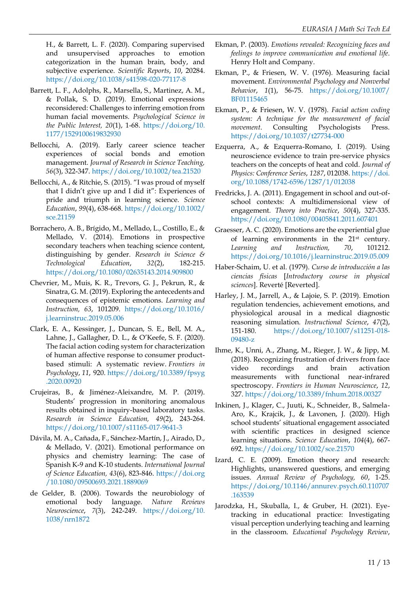H., & Barrett, L. F. (2020). Comparing supervised and unsupervised approaches to emotion categorization in the human brain, body, and subjective experience. *Scientific Reports*, *10*, 20284. <https://doi.org/10.1038/s41598-020-77117-8>

- Barrett, L. F., Adolphs, R., Marsella, S., Martinez, A. M., & Pollak, S. D. (2019). Emotional expressions reconsidered: Challenges to inferring emotion from human facial movements. *Psychological Science in the Public Interest, 20*(1), 1-68. [https://doi.org/10.](https://doi.org/10.1177/1529100619832930) [1177/1529100619832930](https://doi.org/10.1177/1529100619832930)
- Bellocchi, A. (2019). Early career science teacher experiences of social bonds and emotion management. *Journal of Research in Science Teaching, 56*(3), 322-347.<https://doi.org/10.1002/tea.21520>
- Bellocchi, A., & Ritchie, S. (2015). "I was proud of myself that I didn't give up and I did it": Experiences of pride and triumph in learning science. *Science Education*, *99*(4), 638-668. [https://doi.org/10.1002/](https://doi.org/10.1002/sce.21159) [sce.21159](https://doi.org/10.1002/sce.21159)
- Borrachero, A. B., Brígido, M., Mellado, L., Costillo, E., & Mellado, V. (2014). Emotions in prospective secondary teachers when teaching science content, distinguishing by gender. *Research in Science & Technological Education*, *32*(2), 182-215. <https://doi.org/10.1080/02635143.2014.909800>
- Chevrier, M., Muis, K. R., Trevors, G. J., Pekrun, R., & Sinatra, G. M. (2019). Exploring the antecedents and consequences of epistemic emotions. *Learning and Instruction, 63*, 101209. [https://doi.org/10.1016/](https://doi.org/10.1016/j.learninstruc.2019.05.006) [j.learninstruc.2019.05.006](https://doi.org/10.1016/j.learninstruc.2019.05.006)
- Clark, E. A., Kessinger, J., Duncan, S. E., Bell, M. A., Lahne, J., Gallagher, D. L., & O'Keefe, S. F. (2020). The facial action coding system for characterization of human affective response to consumer productbased stimuli: A systematic review. *Frontiers in Psychology*, *11*, 920. [https://doi.org/10.3389/fpsyg](https://doi.org/10.3389/fpsyg.2020.00920) [.2020.00920](https://doi.org/10.3389/fpsyg.2020.00920)
- Crujeiras, B., & Jiménez-Aleixandre, M. P. (2019). Students' progression in monitoring anomalous results obtained in inquiry-based laboratory tasks. *Research in Science Education, 49*(2), 243-264. <https://doi.org/10.1007/s11165-017-9641-3>
- Dávila, M. A., Cañada, F., Sánchez-Martín, J., Airado, D., & Mellado, V. (2021). Emotional performance on physics and chemistry learning: The case of Spanish K-9 and K-10 students. *International Journal of Science Education, 43*(6), 823-846. [https://doi.org](https://doi.org/10.1080/09500693.2021.1889069) [/10.1080/09500693.2021.1889069](https://doi.org/10.1080/09500693.2021.1889069)
- de Gelder, B. (2006). Towards the neurobiology of emotional body language. *Nature Reviews Neuroscience*, *7*(3), 242-249. [https://doi.org/10.](https://doi.org/10.1038/nrn1872) [1038/nrn1872](https://doi.org/10.1038/nrn1872)
- Ekman, P. (2003). *Emotions revealed: Recognizing faces and feelings to improve communication and emotional life*. Henry Holt and Company.
- Ekman, P., & Friesen, W. V. (1976). Measuring facial movement. *Environmental Psychology and Nonverbal Behavior*, *1*(1), 56-75. [https://doi.org/10.1007/](https://doi.org/10.1007/BF01115465) [BF01115465](https://doi.org/10.1007/BF01115465)
- Ekman, P., & Friesen, W. V. (1978). *Facial action coding system: A technique for the measurement of facial movement*. Consulting Psychologists Press. <https://doi.org/10.1037/t27734-000>
- Ezquerra, A., & Ezquerra-Romano, I. (2019). Using neuroscience evidence to train pre-service physics teachers on the concepts of heat and cold. *Journal of Physics: Conference Series*, *1287*, 012038. [https://doi.](https://doi.org/10.1088/1742-6596/1287/1/012038) [org/10.1088/1742-6596/1287/1/012038](https://doi.org/10.1088/1742-6596/1287/1/012038)
- Fredricks, J. A. (2011). Engagement in school and out-ofschool contexts: A multidimensional view of engagement. *Theory into Practice*, *50*(4), 327-335. <https://doi.org/10.1080/00405841.2011.607401>
- Graesser, A. C. (2020). Emotions are the experiential glue of learning environments in the 21st century. *Learning and Instruction, 70*, 101212. <https://doi.org/10.1016/j.learninstruc.2019.05.009>
- Haber-Schaim, U. et al. (1979). *Curso de introducción a las ciencias físicas* [*Introductory course in physical sciences*]. Reverté [Reverted].
- Harley, J. M., Jarrell, A., & Lajoie, S. P. (2019). Emotion regulation tendencies, achievement emotions, and physiological arousal in a medical diagnostic reasoning simulation. *Instructional Science*, *47*(2), 151-180. [https://doi.org/10.1007/s11251-018-](https://doi.org/10.1007/s11251-018-09480-z) [09480-z](https://doi.org/10.1007/s11251-018-09480-z)
- Ihme, K., Unni, A., Zhang, M., Rieger, J. W., & Jipp, M. (2018). Recognizing frustration of drivers from face video recordings and brain activation measurements with functional near-infrared spectroscopy. *Frontiers in Human Neuroscience*, *12*, 327[. https://doi.org/10.3389/fnhum.2018.00327](https://doi.org/10.3389/fnhum.2018.00327)
- Inkinen, J., Klager, C., Juuti, K., Schneider, B., Salmela-Aro, K., Krajcik, J., & Lavonen, J. (2020). High school students' situational engagement associated with scientific practices in designed science learning situations. *Science Education*, *104*(4), 667- 692[. https://doi.org/10.1002/sce.21570](https://doi.org/10.1002/sce.21570)
- Izard, C. E. (2009). Emotion theory and research: Highlights, unanswered questions, and emerging issues. *Annual Review of Psychology, 60*, 1-25. [https://doi.org/10.1146/annurev.psych.60.110707](https://doi.org/10.1146/annurev.psych.60.110707.163539) [.163539](https://doi.org/10.1146/annurev.psych.60.110707.163539)
- Jarodzka, H., Skuballa, I., & Gruber, H. (2021). Eyetracking in educational practice: Investigating visual perception underlying teaching and learning in the classroom. *Educational Psychology Review*,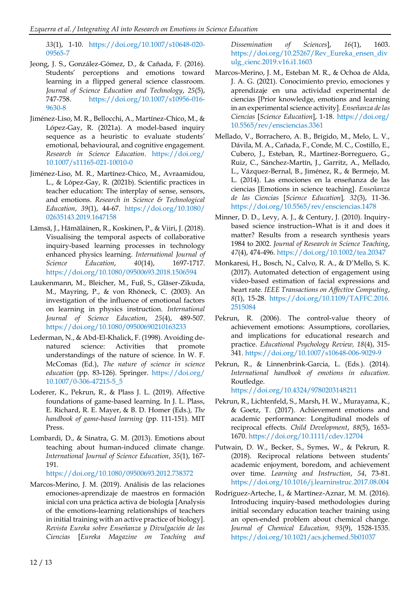*33*(1), 1-10. [https://doi.org/10.1007/s10648-020-](https://doi.org/10.1007/s10648-020-09565-7) [09565-7](https://doi.org/10.1007/s10648-020-09565-7)

- Jeong, J. S., González-Gómez, D., & Cañada, F. (2016). Students' perceptions and emotions toward learning in a flipped general science classroom. *Journal of Science Education and Technology*, *25*(5), 747-758. [https://doi.org/10.1007/s10956-016-](https://doi.org/10.1007/s10956-016-9630-8) [9630-8](https://doi.org/10.1007/s10956-016-9630-8)
- Jiménez-Liso, M. R., Bellocchi, A., Martínez-Chico, M., & López-Gay, R. (2021a). A model-based inquiry sequence as a heuristic to evaluate students' emotional, behavioural, and cognitive engagement. *Research in Science Education*. [https://doi.org/](https://doi.org/10.1007/s11165-021-10010-0) [10.1007/s11165-021-10010-0](https://doi.org/10.1007/s11165-021-10010-0)
- Jiménez-Liso, M. R., Martínez-Chico, M., Avraamidou, L., & López-Gay, R. (2021b). Scientific practices in teacher education: The interplay of sense, sensors, and emotions. *Research in Science & Technological Education*, *39*(1), 44-67. [https://doi.org/10.1080/](https://doi.org/10.1080/02635143.2019.1647158) [02635143.2019.1647158](https://doi.org/10.1080/02635143.2019.1647158)
- Lämsä, J., Hämäläinen, R., Koskinen, P., & Viiri, J. (2018). Visualising the temporal aspects of collaborative inquiry-based learning processes in technology enhanced physics learning. *International Journal of Science Education*, *40*(14), 1697-1717. <https://doi.org/10.1080/09500693.2018.1506594>
- Laukenmann, M., Bleicher, M., Fuß, S., Gläser-Zikuda, M., Mayring, P., & von Rhöneck, C. (2003). An investigation of the influence of emotional factors on learning in physics instruction. *International Journal of Science Education*, *25*(4), 489-507. <https://doi.org/10.1080/09500690210163233>
- Lederman, N., & Abd-El-Khalick, F. (1998). Avoiding denatured science: Activities that promote understandings of the nature of science. In W. F. McComas (Ed.), *The nature of science in science education* (pp. 83-126). Springer. [https://doi.org/](https://doi.org/10.1007/0-306-47215-5_5) [10.1007/0-306-47215-5\\_5](https://doi.org/10.1007/0-306-47215-5_5)
- Loderer, K., Pekrun, R., & Plass J. L. (2019). Affective foundations of game-based learning. In J. L. Plass, E. Richard, R. E. Mayer, & B. D. Homer (Eds.)*, The handbook of game-based learning* (pp. 111-151). MIT Press.
- Lombardi, D., & Sinatra, G. M. (2013). Emotions about teaching about human-induced climate change. *International Journal of Science Education*, *35*(1), 167- 191.

<https://doi.org/10.1080/09500693.2012.738372>

Marcos-Merino, J. M. (2019). Análisis de las relaciones emociones-aprendizaje de maestros en formación inicial con una práctica activa de biología [Analysis of the emotions-learning relationships of teachers in initial training with an active practice of biology]. *Revista Eureka sobre Enseñanza y Divulgación de las Ciencias* [*Eureka Magazine on Teaching and*  *Dissemination of Sciences*], *16*(1), 1603. [https://doi.org/10.25267/Rev\\_Eureka\\_ensen\\_div](https://doi.org/10.25267/Rev_Eureka_ensen_divulg_cienc.2019.v16.i1.1603) [ulg\\_cienc.2019.v16.i1.1603](https://doi.org/10.25267/Rev_Eureka_ensen_divulg_cienc.2019.v16.i1.1603)

- Marcos-Merino, J. M., Esteban M. R., & Ochoa de Alda, J. A. G. (2021). Conocimiento previo, emociones y aprendizaje en una actividad experimental de ciencias [Prior knowledge, emotions and learning in an experimental science activity]. *Enseñanza de las Ciencias* [*Science Education*], 1-18. [https://doi.org/](https://doi.org/10.5565/rev/ensciencias.3361) [10.5565/rev/ensciencias.3361](https://doi.org/10.5565/rev/ensciencias.3361)
- Mellado, V., Borrachero, A. B., Brígido, M., Melo, L. V., Dávila, M. A., Cañada, F., Conde, M. C., Costillo, E., Cubero, J., Esteban, R., Martínez-Borreguero, G., Ruiz, C., Sánchez-Martín, J., Garritz, A., Mellado, L., Vázquez-Bernal, B., Jiménez, R., & Bermejo, M. L. (2014). Las emociones en la enseñanza de las ciencias [Emotions in science teaching]. *Enseñanza de las Ciencias* [*Science Education*]*, 32*(3), 11-36. <https://doi.org/10.5565/rev/ensciencias.1478>
- Minner, D. D., Levy, A. J., & Century, J. (2010). Inquirybased science instruction–What is it and does it matter? Results from a research synthesis years 1984 to 2002. *Journal of Research in Science Teaching*, *47*(4), 474-496[. https://doi.org/10.1002/tea.20347](https://doi.org/10.1002/tea.20347)
- Monkaresi, H., Bosch, N., Calvo, R. A., & D'Mello, S. K. (2017). Automated detection of engagement using video-based estimation of facial expressions and heart rate. *IEEE Transactions on Affective Computing*, *8*(1), 15-28. [https://doi.org/10.1109/TAFFC.2016.](https://doi.org/10.1109/TAFFC.2016.2515084) [2515084](https://doi.org/10.1109/TAFFC.2016.2515084)
- Pekrun, R. (2006). The control-value theory of achievement emotions: Assumptions, corollaries, and implications for educational research and practice. *Educational Psychology Review, 18*(4), 315- 341[. https://doi.org/10.1007/s10648-006-9029-9](https://doi.org/10.1007/s10648-006-9029-9)
- Pekrun, R., & Linnenbrink-Garcia, L. (Eds.). (2014). *International handbook of emotions in education*. Routledge. <https://doi.org/10.4324/9780203148211>
- Pekrun, R., Lichtenfeld, S., Marsh, H. W., Murayama, K., & Goetz, T. (2017). Achievement emotions and academic performance: Longitudinal models of reciprocal effects. *Child Development*, *88*(5), 1653- 1670[. https://doi.org/10.1111/cdev.12704](https://doi.org/10.1111/cdev.12704)
- Putwain, D. W., Becker, S., Symes, W., & Pekrun, R. (2018). Reciprocal relations between students' academic enjoyment, boredom, and achievement over time. *Learning and Instruction*, *54*, 73-81. <https://doi.org/10.1016/j.learninstruc.2017.08.004>
- Rodríguez-Arteche, I., & Martínez-Aznar, M. M. (2016). Introducing inquiry-based methodologies during initial secondary education teacher training using an open-ended problem about chemical change. *Journal of Chemical Education, 93*(9), 1528-1535. <https://doi.org/10.1021/acs.jchemed.5b01037>